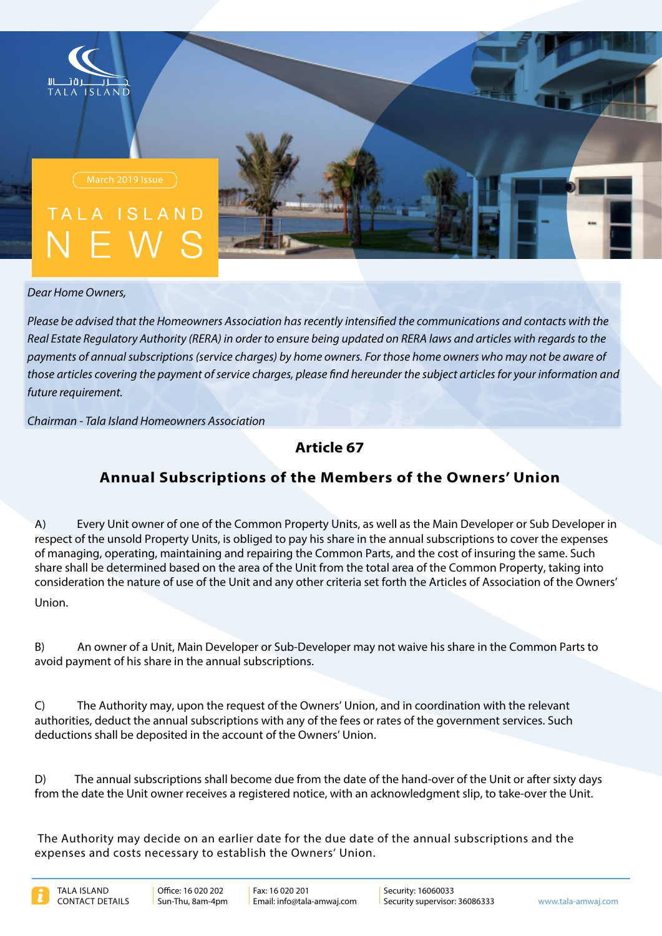



*Dear Home Owners,* 

*Please be advised that the Homeowners Association has recently intensified the communications and contacts with the* Real Estate Regulatory Authority (RERA) in order to ensure being updated on RERA laws and articles with regards to the payments of annual subscriptions (service charges) by home owners. For those home owners who may not be aware of those articles covering the payment of service charges, please find hereunder the subject articles for your information and future requirement.

*Association Homeowners Island Tala - Chairman*

**67 Article**

## **Annual Subscriptions of the Members of the Owners' Union**

A) Every Unit owner of one of the Common Property Units, as well as the Main Developer or Sub Developer in respect of the unsold Property Units, is obliged to pay his share in the annual subscriptions to cover the expenses of managing, operating, maintaining and repairing the Common Parts, and the cost of insuring the same. Such share shall be determined based on the area of the Unit from the total area of the Common Property, taking into consideration the nature of use of the Unit and any other criteria set forth the Articles of Association of the Owners' Union.

B) An owner of a Unit, Main Developer or Sub-Developer may not waive his share in the Common Parts to avoid payment of his share in the annual subscriptions.

C) The Authority may, upon the request of the Owners' Union, and in coordination with the relevant authorities, deduct the annual subscriptions with any of the fees or rates of the government services. Such deductions shall be deposited in the account of the Owners' Union.

D) The annual subscriptions shall become due from the date of the hand-over of the Unit or after sixty days from the date the Unit owner receives a registered notice, with an acknowledgment slip, to take-over the Unit.

The Authority may decide on an earlier date for the due date of the annual subscriptions and the expenses and costs necessary to establish the Owners' Union.